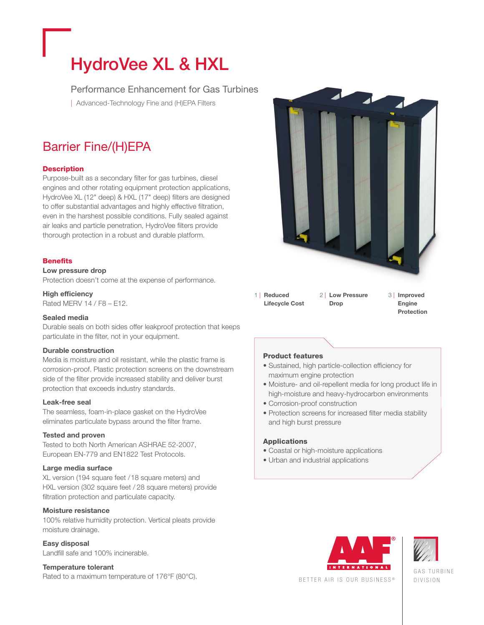# **HydroVee XL & HXL**

Performance Enhancement for Gas Turbines

| Advanced-Technology Fine and (H)EPA Filters

# Barrier Fine/(H)EPA

# **Description**

Purpose-built as a secondary filter for gas turbines, diesel engines and other rotating equipment protection applications, HydroVee XL (12" deep) & HXL (17" deep) filters are designed to offer substantial advantages and highly effective filtration, even in the harshest possible conditions. Fully sealed against air leaks and particle penetration, HydroVee filters provide thorough protection in a robust and durable platform.

# **Benefits**

#### **Low pressure drop**

Protection doesn't come at the expense of performance.

### **High efficiency**

Rated MERV 14 / F8 – E12.

### **Sealed media**

Durable seals on both sides offer leakproof protection that keeps particulate in the filter, not in your equipment.

### **Durable construction**

Media is moisture and oil resistant, while the plastic frame is corrosion-proof. Plastic protection screens on the downstream side of the filter provide increased stability and deliver burst protection that exceeds industry standards.

#### **Leak-free seal**

The seamless, foam-in-place gasket on the HydroVee eliminates particulate bypass around the filter frame.

### **Tested and proven**

Tested to both North American ASHRAE 52-2007, European EN-779 and EN1822 Test Protocols.

### **Large media surface**

XL version (194 square feet /18 square meters) and HXL version (302 square feet / 28 square meters) provide filtration protection and particulate capacity.

### **Moisture resistance**

100% relative humidity protection. Vertical pleats provide moisture drainage.

### **Easy disposal**

Landfill safe and 100% incinerable.

#### **Temperature tolerant**

Rated to a maximum temperature of 176°F (80°C).



1 | **Reduced Lifecycle Cost** 2 | **Low Pressure Drop**

 3 | **Improved Engine Protection**

### **Product features**

- Sustained, high particle-collection efficiency for maximum engine protection
- Moisture- and oil-repellent media for long product life in high-moisture and heavy-hydrocarbon environments
- Corrosion-proof construction
- Protection screens for increased filter media stability and high burst pressure

#### **Applications**

- Coastal or high-moisture applications
- Urban and industrial applications





GAS TURBINE DIVISION

BETTER AIR IS OUR BUSINESS ®